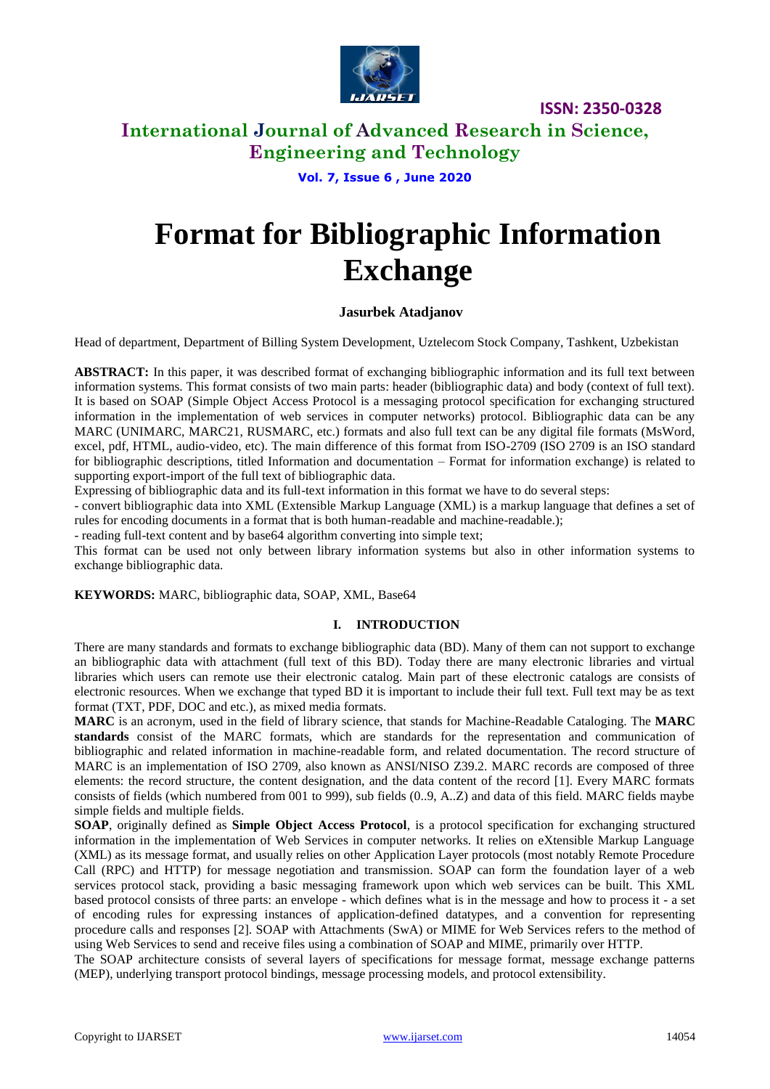

**ISSN: 2350-0328**

### **International Journal of Advanced Research in Science, Engineering and Technology**

### **Vol. 7, Issue 6 , June 2020**

# **Format for Bibliographic Information Exchange**

#### **Jasurbek Atadjanov**

Head of department, Department of Billing System Development, Uztelecom Stock Company, Tashkent, Uzbekistan

**ABSTRACT:** In this paper, it was described format of exchanging bibliographic information and its full text between information systems. This format consists of two main parts: header (bibliographic data) and body (context of full text). It is based on SOAP (Simple Object Access Protocol is a messaging protocol specification for exchanging structured information in the implementation of web services in computer networks) protocol. Bibliographic data can be any MARC (UNIMARC, MARC21, RUSMARC, etc.) formats and also full text can be any digital file formats (MsWord, excel, pdf, HTML, audio-video, etc). The main difference of this format from ISO-2709 (ISO 2709 is an ISO standard for bibliographic descriptions, titled Information and documentation – Format for information exchange) is related to supporting export-import of the full text of bibliographic data.

Expressing of bibliographic data and its full-text information in this format we have to do several steps:

- convert bibliographic data into XML (Extensible Markup Language (XML) is a markup language that defines a set of rules for encoding documents in a format that is both human-readable and machine-readable.);

- reading full-text content and by base64 algorithm converting into simple text;

This format can be used not only between library information systems but also in other information systems to exchange bibliographic data.

**KEYWORDS:** MARC, bibliographic data, SOAP, XML, Base64

#### **I. INTRODUCTION**

There are many standards and formats to exchange bibliographic data (BD). Many of them can not support to exchange an bibliographic data with attachment (full text of this BD). Today there are many electronic libraries and virtual libraries which users can remote use their electronic catalog. Main part of these electronic catalogs are consists of electronic resources. When we exchange that typed BD it is important to include their full text. Full text may be as text format (TXT, PDF, DOC and etc.), as mixed media formats.

**MARC** is an acronym, used in the field of library science, that stands for Machine-Readable Cataloging. The **MARC standards** consist of the MARC formats, which are standards for the representation and communication of bibliographic and related information in machine-readable form, and related documentation. The record structure of MARC is an implementation of ISO 2709, also known as ANSI/NISO Z39.2. MARC records are composed of three elements: the record structure, the content designation, and the data content of the record [1]. Every MARC formats consists of fields (which numbered from 001 to 999), sub fields (0..9, A..Z) and data of this field. MARC fields maybe simple fields and multiple fields.

**SOAP**, originally defined as **Simple Object Access Protocol**, is a protocol specification for exchanging structured information in the implementation of Web Services in computer networks. It relies on eXtensible Markup Language (XML) as its message format, and usually relies on other Application Layer protocols (most notably Remote Procedure Call (RPC) and HTTP) for message negotiation and transmission. SOAP can form the foundation layer of a web services protocol stack, providing a basic messaging framework upon which web services can be built. This XML based protocol consists of three parts: an envelope - which defines what is in the message and how to process it - a set of encoding rules for expressing instances of application-defined datatypes, and a convention for representing procedure calls and responses [2]. SOAP with Attachments (SwA) or MIME for Web Services refers to the method of using Web Services to send and receive files using a combination of SOAP and MIME, primarily over HTTP.

The SOAP architecture consists of several layers of specifications for message format, message exchange patterns (MEP), underlying transport protocol bindings, message processing models, and protocol extensibility.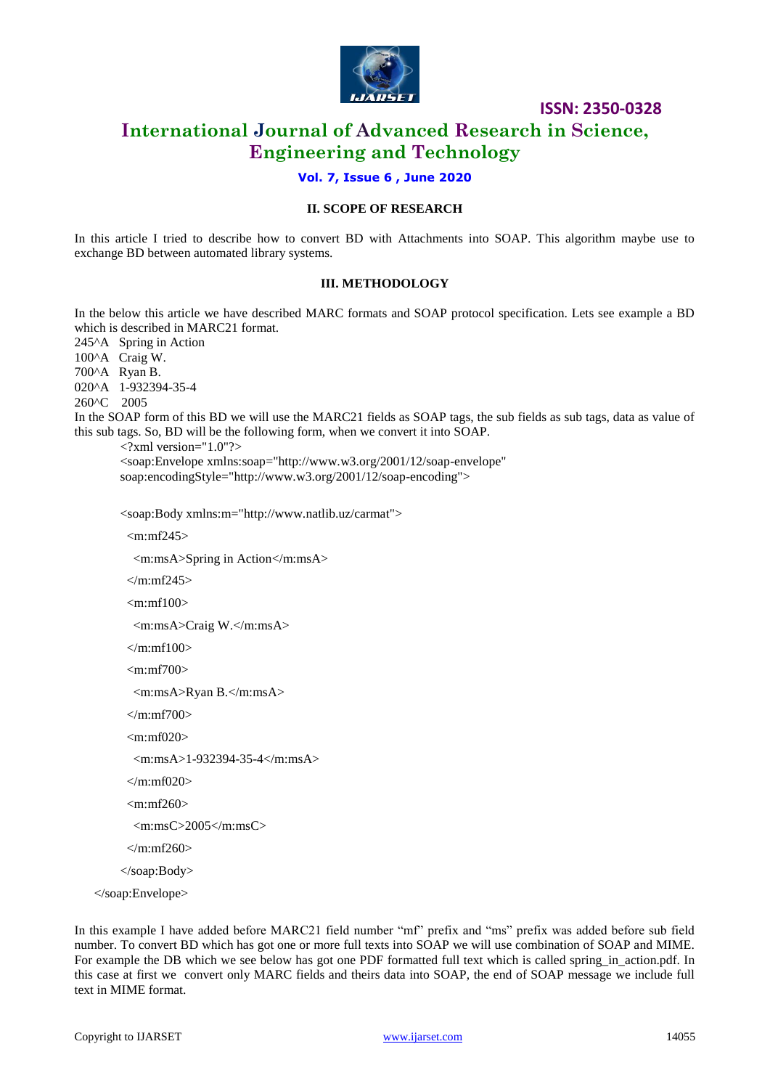

**ISSN: 2350-0328**

## **International Journal of Advanced Research in Science, Engineering and Technology**

#### **Vol. 7, Issue 6 , June 2020**

#### **II. SCOPE OF RESEARCH**

In this article I tried to describe how to convert BD with Attachments into SOAP. This algorithm maybe use to exchange BD between automated library systems.

#### **III. METHODOLOGY**

In the below this article we have described MARC formats and SOAP protocol specification. Lets see example a BD which is described in MARC21 format. 245^A Spring in Action 100^A Craig W. 700^A Ryan B. 020^A 1-932394-35-4 260^C 2005 In the SOAP form of this BD we will use the MARC21 fields as SOAP tags, the sub fields as sub tags, data as value of this sub tags. So, BD will be the following form, when we convert it into SOAP.  $\langle$ ?xml version="1.0"?> <soap:Envelope xmlns:soap="http://www.w3.org/2001/12/soap-envelope" soap:encodingStyle="http://www.w3.org/2001/12/soap-encoding"> <soap:Body xmlns:m="http://www.natlib.uz/carmat">  $\mbox{cm:mf245>}$  <m:msA>Spring in Action</m:msA>  $\langle$ m:mf245>  $\mbox{cm:mf100>}$  <m:msA>Craig W.</m:msA>  $<$ /m:mf100 $>$  $<$ m:mf700 $>$  <m:msA>Ryan B.</m:msA>  $\langle$ m:mf700 $>$ 

<m:mf020>

```
 <m:msA>1-932394-35-4</m:msA>
```
 $\langle m: mf020 \rangle$ 

 $\langle m \cdot m f \rangle 60$ 

```
 <m:msC>2005</m:msC>
```
 $\langle$ m:mf260>

</soap:Body>

</soap:Envelope>

In this example I have added before MARC21 field number "mf" prefix and "ms" prefix was added before sub field number. To convert BD which has got one or more full texts into SOAP we will use combination of SOAP and MIME. For example the DB which we see below has got one PDF formatted full text which is called spring in action.pdf. In this case at first we convert only MARC fields and theirs data into SOAP, the end of SOAP message we include full text in MIME format.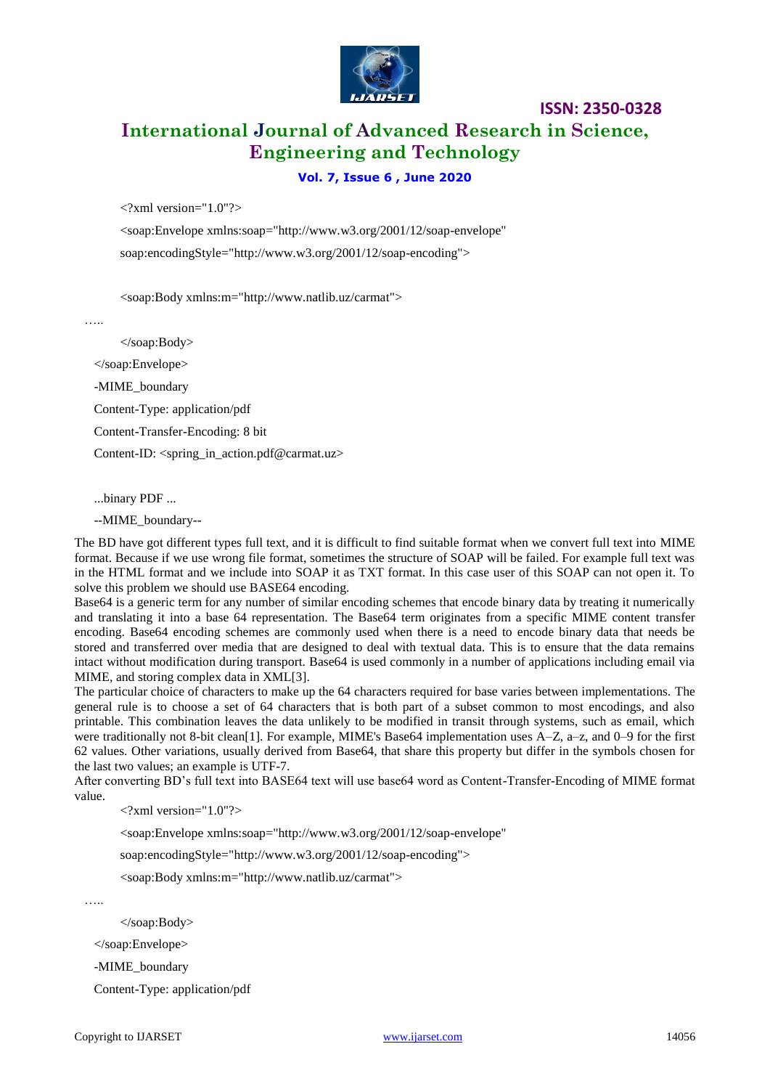

## **International Journal of Advanced Research in Science, Engineering and Technology**

**ISSN: 2350-0328**

#### **Vol. 7, Issue 6 , June 2020**

 $\langle$  2xml version="1.0"? $>$ 

<soap:Envelope xmlns:soap="http://www.w3.org/2001/12/soap-envelope" soap:encodingStyle="http://www.w3.org/2001/12/soap-encoding">

<soap:Body xmlns:m="http://www.natlib.uz/carmat">

……

</soap:Body>

</soap:Envelope>

-MIME\_boundary

Content-Type: application/pdf

Content-Transfer-Encoding: 8 bit

Content-ID: <spring\_in\_action.pdf@carmat.uz>

...binary PDF ...

--MIME\_boundary--

The BD have got different types full text, and it is difficult to find suitable format when we convert full text into MIME format. Because if we use wrong file format, sometimes the structure of SOAP will be failed. For example full text was in the HTML format and we include into SOAP it as TXT format. In this case user of this SOAP can not open it. To solve this problem we should use BASE64 encoding.

Base64 is a generic term for any number of similar encoding schemes that encode binary data by treating it numerically and translating it into a base 64 representation. The Base64 term originates from a specific MIME content transfer encoding. Base64 encoding schemes are commonly used when there is a need to encode binary data that needs be stored and transferred over media that are designed to deal with textual data. This is to ensure that the data remains intact without modification during transport. Base64 is used commonly in a number of applications including email via MIME, and storing complex data in XML[3].

The particular choice of characters to make up the 64 characters required for base varies between implementations. The general rule is to choose a set of 64 characters that is both part of a subset common to most encodings, and also printable. This combination leaves the data unlikely to be modified in transit through systems, such as email, which were traditionally not 8-bit clean[1]. For example, MIME's Base64 implementation uses A–Z, a–z, and 0–9 for the first 62 values. Other variations, usually derived from Base64, that share this property but differ in the symbols chosen for the last two values; an example is UTF-7.

After converting BD's full text into BASE64 text will use base64 word as Content-Transfer-Encoding of MIME format value.

 $\langle$  2xml version="1.0"? $>$ 

<soap:Envelope xmlns:soap="http://www.w3.org/2001/12/soap-envelope"

soap:encodingStyle="http://www.w3.org/2001/12/soap-encoding">

<soap:Body xmlns:m="http://www.natlib.uz/carmat">

…..

</soap:Body>

</soap:Envelope>

-MIME\_boundary

Content-Type: application/pdf